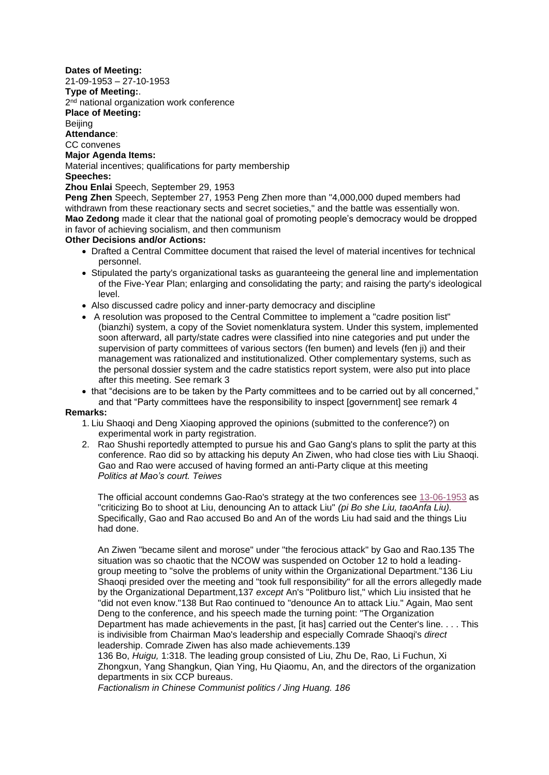**Dates of Meeting:** 21-09-1953 – 27-10-1953 **Type of Meeting:**. 2<sup>nd</sup> national organization work conference **Place of Meeting:** Beijing **Attendance**: CC convenes **Major Agenda Items:** Material incentives; qualifications for party membership **Speeches: Zhou Enlai** Speech, September 29, 1953 **Peng Zhen** Speech, September 27, 1953 Peng Zhen more than "4,000,000 duped members had withdrawn from these reactionary sects and secret societies," and the battle was essentially won. **Mao Zedong** made it clear that the national goal of promoting people's democracy would be dropped in favor of achieving socialism, and then communism

**Other Decisions and/or Actions:**

- Drafted a Central Committee document that raised the level of material incentives for technical personnel.
- Stipulated the party's organizational tasks as guaranteeing the general line and implementation of the Five-Year Plan; enlarging and consolidating the party; and raising the party's ideological level.
- Also discussed cadre policy and inner-party democracy and discipline
- A resolution was proposed to the Central Committee to implement a "cadre position list" (bianzhi) system, a copy of the Soviet nomenklatura system. Under this system, implemented soon afterward, all party/state cadres were classified into nine categories and put under the supervision of party committees of various sectors (fen bumen) and levels (fen ji) and their management was rationalized and institutionalized. Other complementary systems, such as the personal dossier system and the cadre statistics report system, were also put into place after this meeting. See remark 3
- that "decisions are to be taken by the Party committees and to be carried out by all concerned," and that "Party committees have the responsibility to inspect [government] see remark 4

## **Remarks:**

- 1. Liu Shaoqi and Deng Xiaoping approved the opinions (submitted to the conference?) on experimental work in party registration.
- 2. Rao Shushi reportedly attempted to pursue his and Gao Gang's plans to split the party at this conference. Rao did so by attacking his deputy An Ziwen, who had close ties with Liu Shaoqi. Gao and Rao were accused of having formed an anti-Party clique at this meeting *Politics at Mao's court. Teiwes*

The official account condemns Gao-Rao's strategy at the two conferences see [13-06-1953](http://www.commonprogram.science/meetings/1953/13-06-1953.pdf) as "criticizing Bo to shoot at Liu, denouncing An to attack Liu" *(pi Bo she Liu, taoAnfa Liu).*  Specifically, Gao and Rao accused Bo and An of the words Liu had said and the things Liu had done.

An Ziwen "became silent and morose" under "the ferocious attack" by Gao and Rao.135 The situation was so chaotic that the NCOW was suspended on October 12 to hold a leadinggroup meeting to "solve the problems of unity within the Organizational Department."136 Liu Shaoqi presided over the meeting and "took full responsibility" for all the errors allegedly made by the Organizational Department,137 *except* An's "Politburo list," which Liu insisted that he "did not even know."138 But Rao continued to "denounce An to attack Liu." Again, Mao sent Deng to the conference, and his speech made the turning point: "The Organization Department has made achievements in the past, [it has] carried out the Center's line. . . . This is indivisible from Chairman Mao's leadership and especially Comrade Shaoqi's *direct*  leadership. Comrade Ziwen has also made achievements.139

136 Bo, *Huigu,* 1:318. The leading group consisted of Liu, Zhu De, Rao, Li Fuchun, Xi Zhongxun, Yang Shangkun, Qian Ying, Hu Qiaomu, An, and the directors of the organization departments in six CCP bureaus.

*Factionalism in Chinese Communist politics / Jing Huang. 186*